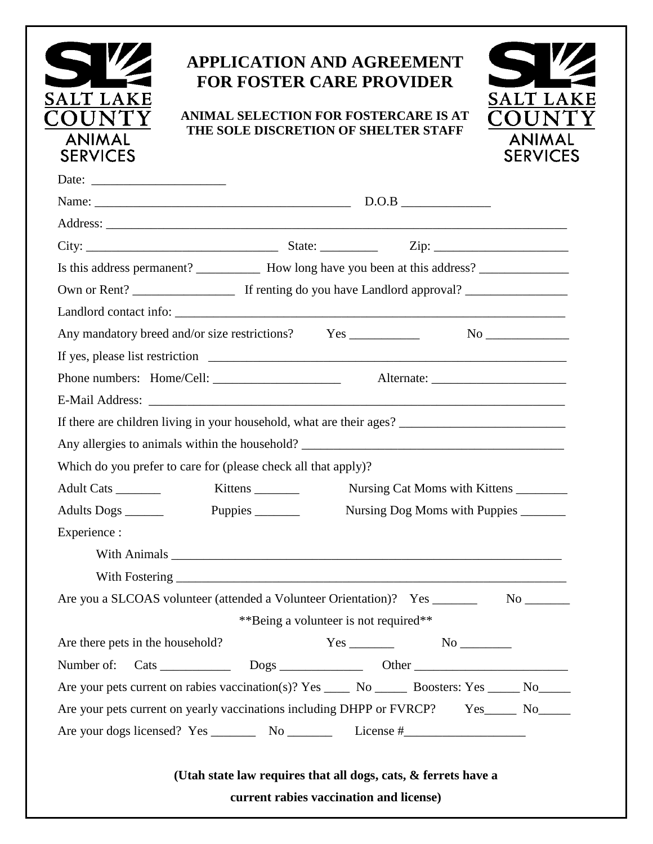| SALT LAKE<br>OUNT<br><b>ANIMAL</b><br><b>SERVICES</b> | <b>APPLICATION AND AGREEMENT</b><br><b>FOR FOSTER CARE PROVIDER</b><br>ANIMAL SELECTION FOR FOSTERCARE IS AT<br>THE SOLE DISCRETION OF SHELTER STAFF |                                       |  | SALT LAKE<br>TOUN<br><b>ANIMAL</b><br><b>SERVICES</b> |  |  |  |
|-------------------------------------------------------|------------------------------------------------------------------------------------------------------------------------------------------------------|---------------------------------------|--|-------------------------------------------------------|--|--|--|
|                                                       |                                                                                                                                                      |                                       |  |                                                       |  |  |  |
|                                                       |                                                                                                                                                      |                                       |  |                                                       |  |  |  |
|                                                       |                                                                                                                                                      |                                       |  |                                                       |  |  |  |
|                                                       |                                                                                                                                                      |                                       |  |                                                       |  |  |  |
|                                                       | Is this address permanent? _____________ How long have you been at this address? __________________                                                  |                                       |  |                                                       |  |  |  |
|                                                       |                                                                                                                                                      |                                       |  |                                                       |  |  |  |
|                                                       |                                                                                                                                                      |                                       |  |                                                       |  |  |  |
|                                                       |                                                                                                                                                      |                                       |  | $\overline{\text{No}}$                                |  |  |  |
|                                                       |                                                                                                                                                      |                                       |  |                                                       |  |  |  |
|                                                       |                                                                                                                                                      |                                       |  |                                                       |  |  |  |
|                                                       |                                                                                                                                                      |                                       |  |                                                       |  |  |  |
|                                                       |                                                                                                                                                      |                                       |  |                                                       |  |  |  |
|                                                       |                                                                                                                                                      |                                       |  |                                                       |  |  |  |
|                                                       | Which do you prefer to care for (please check all that apply)?                                                                                       |                                       |  |                                                       |  |  |  |
| Adult Cats                                            | Nursing Cat Moms with Kittens<br>$Kittens$ <sub>___________</sub>                                                                                    |                                       |  |                                                       |  |  |  |
|                                                       |                                                                                                                                                      |                                       |  |                                                       |  |  |  |
| Experience :                                          |                                                                                                                                                      |                                       |  |                                                       |  |  |  |
|                                                       |                                                                                                                                                      |                                       |  |                                                       |  |  |  |
|                                                       |                                                                                                                                                      |                                       |  |                                                       |  |  |  |
|                                                       | Are you a SLCOAS volunteer (attended a Volunteer Orientation)? Yes ___________ No ________                                                           |                                       |  |                                                       |  |  |  |
|                                                       |                                                                                                                                                      | **Being a volunteer is not required** |  |                                                       |  |  |  |
| Are there pets in the household?                      |                                                                                                                                                      |                                       |  |                                                       |  |  |  |
| Number of:                                            |                                                                                                                                                      |                                       |  |                                                       |  |  |  |
|                                                       | Are your pets current on rabies vaccination(s)? Yes ________ No _________ Boosters: Yes _______ No _______                                           |                                       |  |                                                       |  |  |  |
|                                                       | Are your pets current on yearly vaccinations including DHPP or FVRCP? Yes_____ No_____                                                               |                                       |  |                                                       |  |  |  |
|                                                       |                                                                                                                                                      |                                       |  |                                                       |  |  |  |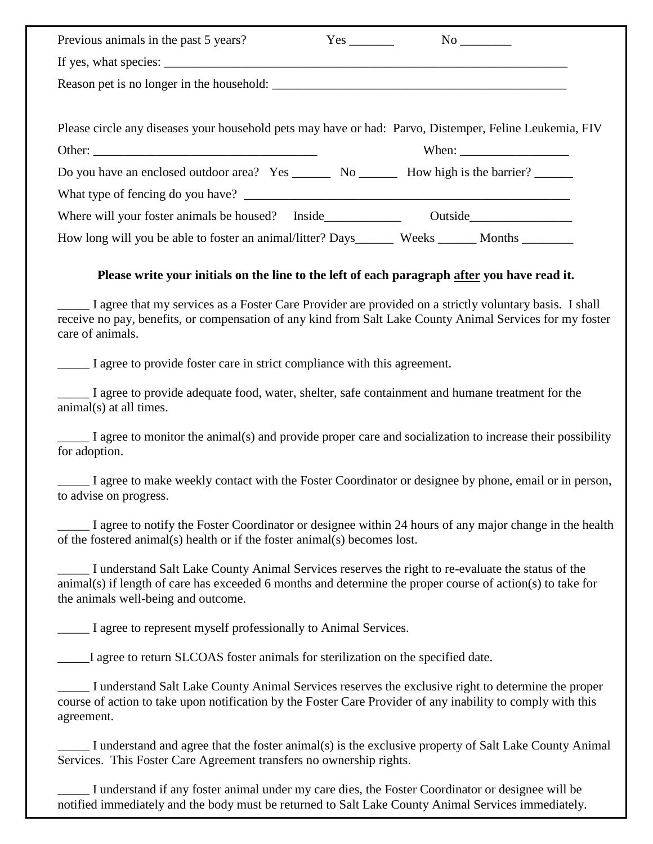| Previous animals in the past 5 years?                                                                  |  |                                                          |
|--------------------------------------------------------------------------------------------------------|--|----------------------------------------------------------|
|                                                                                                        |  |                                                          |
|                                                                                                        |  |                                                          |
|                                                                                                        |  |                                                          |
| Please circle any diseases your household pets may have or had: Parvo, Distemper, Feline Leukemia, FIV |  |                                                          |
|                                                                                                        |  | When: $\frac{1}{\sqrt{1-\frac{1}{2}} \cdot \frac{1}{2}}$ |
| Do you have an enclosed outdoor area? Yes _________ No __________ How high is the barrier?             |  |                                                          |
|                                                                                                        |  |                                                          |
| Where will your foster animals be housed? Inside                                                       |  | Outside                                                  |
| How long will you be able to foster an animal/litter? Days________ Weeks _______ Months _________      |  |                                                          |

## **Please write your initials on the line to the left of each paragraph after you have read it.**

\_\_\_\_\_ I agree that my services as a Foster Care Provider are provided on a strictly voluntary basis. I shall receive no pay, benefits, or compensation of any kind from Salt Lake County Animal Services for my foster care of animals.

I agree to provide foster care in strict compliance with this agreement.

\_\_\_\_\_ I agree to provide adequate food, water, shelter, safe containment and humane treatment for the animal(s) at all times.

\_\_\_\_\_ I agree to monitor the animal(s) and provide proper care and socialization to increase their possibility for adoption.

I agree to make weekly contact with the Foster Coordinator or designee by phone, email or in person, to advise on progress.

I agree to notify the Foster Coordinator or designee within 24 hours of any major change in the health of the fostered animal(s) health or if the foster animal(s) becomes lost.

\_\_\_\_\_ I understand Salt Lake County Animal Services reserves the right to re-evaluate the status of the animal(s) if length of care has exceeded 6 months and determine the proper course of action(s) to take for the animals well-being and outcome.

I agree to represent myself professionally to Animal Services.

\_\_\_\_\_I agree to return SLCOAS foster animals for sterilization on the specified date.

\_\_\_\_\_ I understand Salt Lake County Animal Services reserves the exclusive right to determine the proper course of action to take upon notification by the Foster Care Provider of any inability to comply with this agreement.

\_\_\_\_\_ I understand and agree that the foster animal(s) is the exclusive property of Salt Lake County Animal Services. This Foster Care Agreement transfers no ownership rights.

I understand if any foster animal under my care dies, the Foster Coordinator or designee will be notified immediately and the body must be returned to Salt Lake County Animal Services immediately.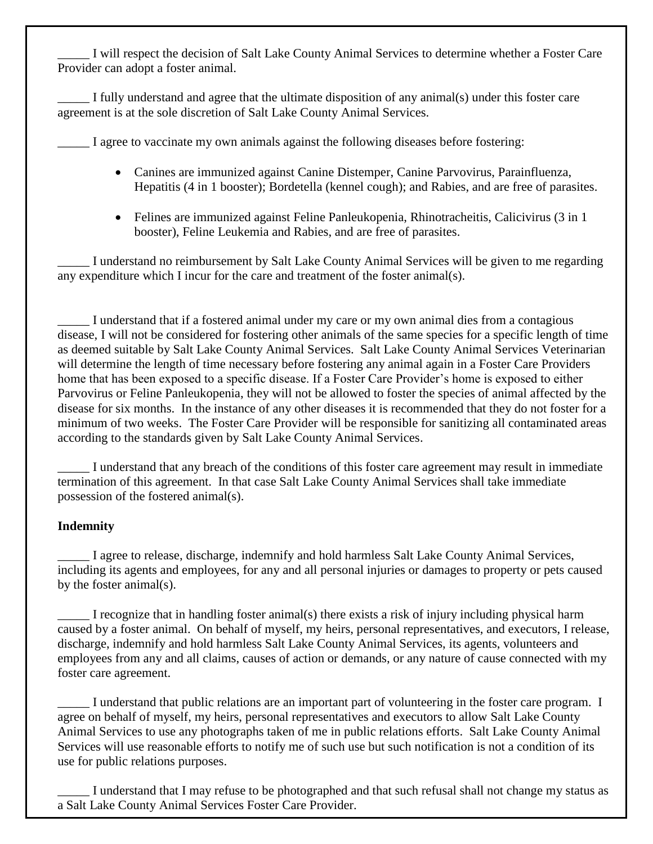\_\_\_\_\_ I will respect the decision of Salt Lake County Animal Services to determine whether a Foster Care Provider can adopt a foster animal.

\_\_\_\_\_ I fully understand and agree that the ultimate disposition of any animal(s) under this foster care agreement is at the sole discretion of Salt Lake County Animal Services.

I agree to vaccinate my own animals against the following diseases before fostering:

- Canines are immunized against Canine Distemper, Canine Parvovirus, Parainfluenza, Hepatitis (4 in 1 booster); Bordetella (kennel cough); and Rabies, and are free of parasites.
- Felines are immunized against Feline Panleukopenia, Rhinotracheitis, Calicivirus (3 in 1 booster), Feline Leukemia and Rabies, and are free of parasites.

\_\_\_\_\_ I understand no reimbursement by Salt Lake County Animal Services will be given to me regarding any expenditure which I incur for the care and treatment of the foster animal(s).

\_\_\_\_\_ I understand that if a fostered animal under my care or my own animal dies from a contagious disease, I will not be considered for fostering other animals of the same species for a specific length of time as deemed suitable by Salt Lake County Animal Services. Salt Lake County Animal Services Veterinarian will determine the length of time necessary before fostering any animal again in a Foster Care Providers home that has been exposed to a specific disease. If a Foster Care Provider's home is exposed to either Parvovirus or Feline Panleukopenia, they will not be allowed to foster the species of animal affected by the disease for six months. In the instance of any other diseases it is recommended that they do not foster for a minimum of two weeks. The Foster Care Provider will be responsible for sanitizing all contaminated areas according to the standards given by Salt Lake County Animal Services.

\_\_\_\_\_ I understand that any breach of the conditions of this foster care agreement may result in immediate termination of this agreement. In that case Salt Lake County Animal Services shall take immediate possession of the fostered animal(s).

## **Indemnity**

I agree to release, discharge, indemnify and hold harmless Salt Lake County Animal Services, including its agents and employees, for any and all personal injuries or damages to property or pets caused by the foster animal(s).

I recognize that in handling foster animal(s) there exists a risk of injury including physical harm caused by a foster animal. On behalf of myself, my heirs, personal representatives, and executors, I release, discharge, indemnify and hold harmless Salt Lake County Animal Services, its agents, volunteers and employees from any and all claims, causes of action or demands, or any nature of cause connected with my foster care agreement.

I understand that public relations are an important part of volunteering in the foster care program. I agree on behalf of myself, my heirs, personal representatives and executors to allow Salt Lake County Animal Services to use any photographs taken of me in public relations efforts. Salt Lake County Animal Services will use reasonable efforts to notify me of such use but such notification is not a condition of its use for public relations purposes.

I understand that I may refuse to be photographed and that such refusal shall not change my status as a Salt Lake County Animal Services Foster Care Provider.